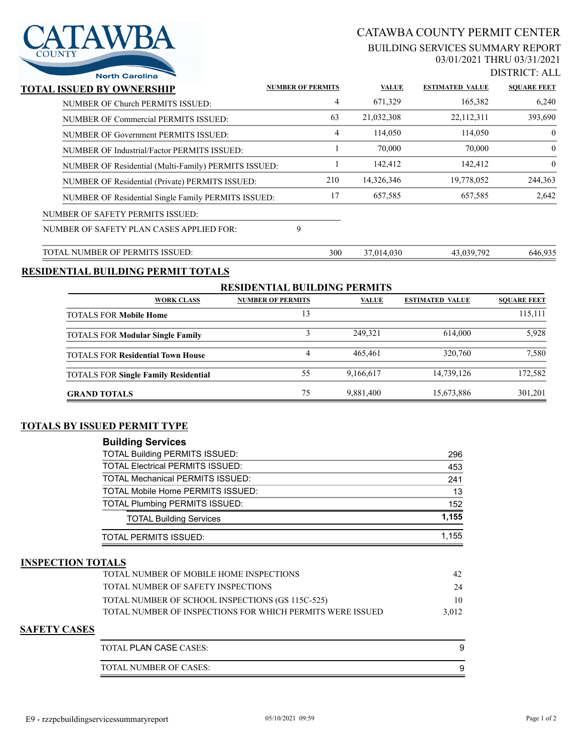# AWBA

# CATAWBA COUNTY PERMIT CENTER

#### BUILDING SERVICES SUMMARY REPORT 03/01/2021 THRU 03/31/2021

DISTRICT: ALL

| <b>North Carolina</b>                                |                          |     |              |                        | DIJINU I . ALI     |
|------------------------------------------------------|--------------------------|-----|--------------|------------------------|--------------------|
| TOTAL ISSUED BY OWNERSHIP                            | <b>NUMBER OF PERMITS</b> |     | <b>VALUE</b> | <b>ESTIMATED VALUE</b> | <b>SOUARE FEET</b> |
| NUMBER OF Church PERMITS ISSUED:                     |                          | 4   | 671,329      | 165,382                | 6,240              |
| NUMBER OF Commercial PERMITS ISSUED:                 |                          | 63  | 21,032,308   | 22,112,311             | 393,690            |
| NUMBER OF Government PERMITS ISSUED:                 |                          | 4   | 114,050      | 114,050                | $\overline{0}$     |
| NUMBER OF Industrial/Factor PERMITS ISSUED:          |                          |     | 70,000       | 70,000                 | $\overline{0}$     |
| NUMBER OF Residential (Multi-Family) PERMITS ISSUED: |                          |     | 142,412      | 142,412                | $\theta$           |
| NUMBER OF Residential (Private) PERMITS ISSUED:      |                          | 210 | 14,326,346   | 19,778,052             | 244,363            |
| NUMBER OF Residential Single Family PERMITS ISSUED:  |                          | 17  | 657,585      | 657,585                | 2,642              |
| NUMBER OF SAFETY PERMITS ISSUED:                     |                          |     |              |                        |                    |
| NUMBER OF SAFETY PLAN CASES APPLIED FOR:             | 9                        |     |              |                        |                    |
| TOTAL NUMBER OF PERMITS ISSUED:                      |                          | 300 | 37,014,030   | 43,039,792             | 646,935            |

## **RESIDENTIAL BUILDING PERMIT TOTALS**

| <b>RESIDENTIAL BUILDING PERMITS</b>         |                          |              |                        |                    |  |  |
|---------------------------------------------|--------------------------|--------------|------------------------|--------------------|--|--|
| <b>WORK CLASS</b>                           | <b>NUMBER OF PERMITS</b> | <b>VALUE</b> | <b>ESTIMATED VALUE</b> | <b>SOUARE FEET</b> |  |  |
| <b>TOTALS FOR Mobile Home</b>               | 13                       |              |                        | 115,111            |  |  |
| <b>TOTALS FOR Modular Single Family</b>     |                          | 249,321      | 614,000                | 5,928              |  |  |
| <b>TOTALS FOR Residential Town House</b>    | 4                        | 465,461      | 320,760                | 7,580              |  |  |
| <b>TOTALS FOR Single Family Residential</b> | 55                       | 9,166,617    | 14,739,126             | 172,582            |  |  |
| <b>GRAND TOTALS</b>                         | 75                       | 9,881,400    | 15,673,886             | 301,201            |  |  |

#### **TOTALS BY ISSUED PERMIT TYPE**

| <b>Building Services</b>                 |       |
|------------------------------------------|-------|
| <b>TOTAL Building PERMITS ISSUED:</b>    | 296   |
| <b>TOTAL Electrical PERMITS ISSUED:</b>  | 453   |
| <b>TOTAL Mechanical PERMITS ISSUED:</b>  | 241   |
| <b>TOTAL Mobile Home PERMITS ISSUED:</b> | 13    |
| <b>TOTAL Plumbing PERMITS ISSUED:</b>    | 152   |
| <b>TOTAL Building Services</b>           | 1.155 |
| <b>TOTAL PERMITS ISSUED:</b>             | 1.155 |

## **INSPECTION TOTALS**

| <b>TOTAL NUMBER OF MOBILE HOME INSPECTIONS</b>             | 42    |
|------------------------------------------------------------|-------|
| TOTAL NUMBER OF SAFETY INSPECTIONS                         | 24    |
| TOTAL NUMBER OF SCHOOL INSPECTIONS (GS 115C-525)           |       |
| TOTAL NUMBER OF INSPECTIONS FOR WHICH PERMITS WERE ISSUED. | 3.012 |
|                                                            |       |

#### **SAFETY CASES**

| TOTAL PLAN CASE CASES: |  |
|------------------------|--|
| TOTAL NUMBER OF CASES: |  |